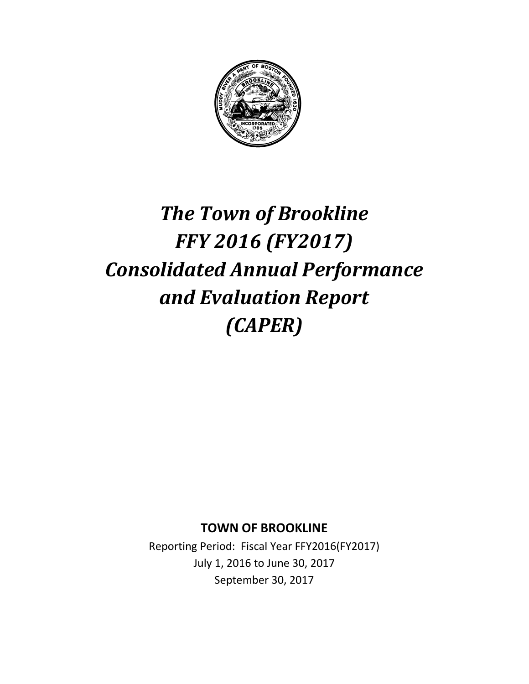

# *The Town of Brookline FFY 2016 (FY2017) Consolidated Annual Performance and Evaluation Report (CAPER)*

**TOWN OF BROOKLINE**

Reporting Period: Fiscal Year FFY2016(FY2017) July 1, 2016 to June 30, 2017 September 30, 2017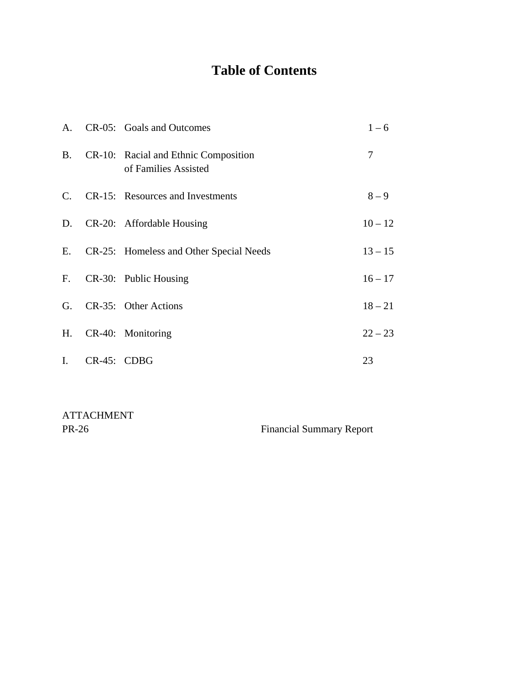## **Table of Contents**

|                |                | A. CR-05: Goals and Outcomes                                 | $1 - 6$   |
|----------------|----------------|--------------------------------------------------------------|-----------|
| <b>B.</b>      |                | CR-10: Racial and Ethnic Composition<br>of Families Assisted | 7         |
|                |                | C. CR-15: Resources and Investments                          | $8 - 9$   |
|                |                | D. CR-20: Affordable Housing                                 | $10 - 12$ |
|                |                | E. CR-25: Homeless and Other Special Needs                   | $13 - 15$ |
|                |                | F. CR-30: Public Housing                                     | $16 - 17$ |
| G.             |                | CR-35: Other Actions                                         | $18 - 21$ |
| H.             |                | CR-40: Monitoring                                            | $22 - 23$ |
| $\mathbf{I}$ . | $CR-45$ : CDBG |                                                              | 23        |

ATTACHMENT

PR-26 Financial Summary Report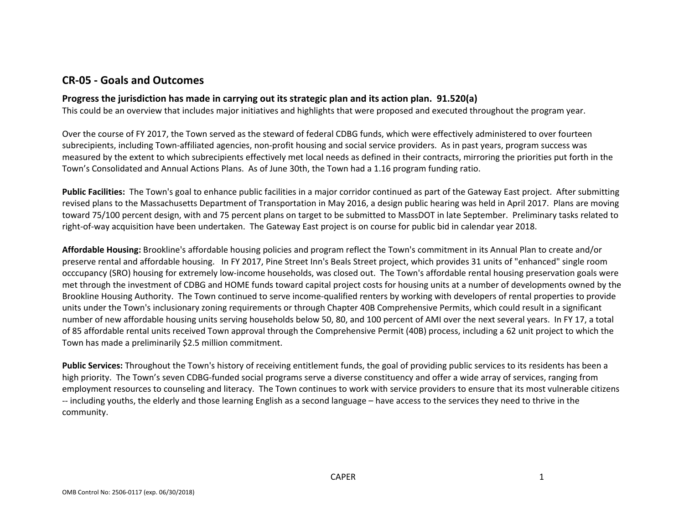### **CR‐05 ‐ Goals and Outcomes**

### **Progress the jurisdiction has made in carrying out its strategic plan and its action plan. 91.520(a)**

This could be an overview that includes major initiatives and highlights that were proposed and executed throughout the program year.

Over the course of FY 2017, the Town served as the steward of federal CDBG funds, which were effectively administered to over fourteen subrecipients, including Town‐affiliated agencies, non‐profit housing and social service providers. As in past years, program success was measured by the extent to which subrecipients effectively met local needs as defined in their contracts, mirroring the priorities put forth in the Town's Consolidated and Annual Actions Plans. As of June 30th, the Town had <sup>a</sup> 1.16 program funding ratio.

**Public Facilities:** The Town's goal to enhance public facilities in <sup>a</sup> major corridor continued as part of the Gateway East project. After submitting revised plans to the Massachusetts Department of Transportation in May 2016, <sup>a</sup> design public hearing was held in April 2017. Plans are moving toward 75/100 percent design, with and 75 percent plans on target to be submitted to MassDOT in late September. Preliminary tasks related to right-of-way acquisition have been undertaken. The Gateway East project is on course for public bid in calendar year 2018.

**Affordable Housing:** Brookline's affordable housing policies and program reflect the Town's commitment in its Annual Plan to create and/or preserve rental and affordable housing. In FY 2017, Pine Street Inn's Beals Street project, which provides 31 units of "enhanced" single room occcupancy (SRO) housing for extremely low‐income households, was closed out. The Town's affordable rental housing preservation goals were met through the investment of CDBG and HOME funds toward capital project costs for housing units at <sup>a</sup> number of developments owned by the Brookline Housing Authority. The Town continued to serve income‐qualified renters by working with developers of rental properties to provide units under the Town's inclusionary zoning requirements or through Chapter 40B Comprehensive Permits, which could result in <sup>a</sup> significant number of new affordable housing units serving households below 50, 80, and 100 percent of AMI over the next several years. In FY 17, <sup>a</sup> total of 85 affordable rental units received Town approval through the Comprehensive Permit (40B) process, including <sup>a</sup> 62 unit project to which the Town has made <sup>a</sup> preliminarily \$2.5 million commitment.

**Public Services:** Throughout the Town's history of receiving entitlement funds, the goal of providing public services to its residents has been <sup>a</sup> high priority. The Town's seven CDBG‐funded social programs serve <sup>a</sup> diverse constituency and offer <sup>a</sup> wide array of services, ranging from employment resources to counseling and literacy. The Town continues to work with service providers to ensure that its most vulnerable citizens ‐‐ including youths, the elderly and those learning English as <sup>a</sup> second language – have access to the services they need to thrive in the community.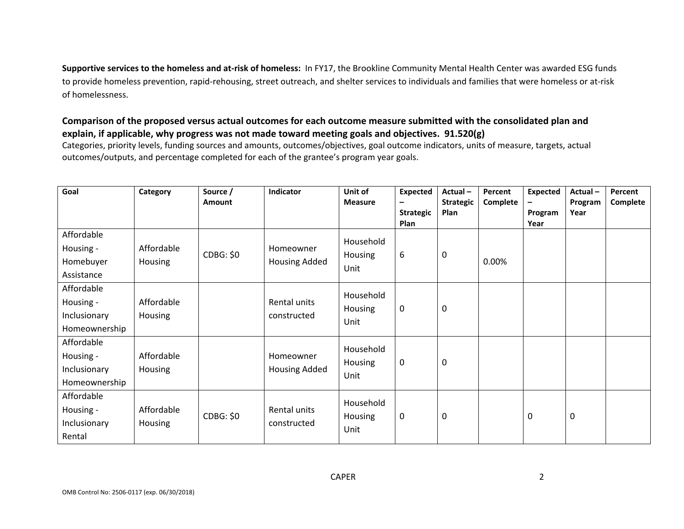**Supportive services to the homeless and at‐risk of homeless:** In FY17, the Brookline Community Mental Health Center was awarded ESG funds to provide homeless prevention, rapid‐rehousing, street outreach, and shelter services to individuals and families that were homeless or at‐risk of homelessness.

### Comparison of the proposed versus actual outcomes for each outcome measure submitted with the consolidated plan and **explain, if applicable, why progress was not made toward meeting goals and objectives. 91.520(g)**

Categories, priority levels, funding sources and amounts, outcomes/objectives, goal outcome indicators, units of measure, targets, actual outcomes/outputs, and percentage completed for each of the grantee's program year goals.

| Goal                                                     | Category              | Source /<br><b>Amount</b> | Indicator                   | Unit of<br><b>Measure</b>    | <b>Expected</b><br><b>Strategic</b> | Actual-<br><b>Strategic</b><br>Plan | Percent<br>Complete | <b>Expected</b><br>Program | Actual-<br>Program<br>Year | Percent<br>Complete |
|----------------------------------------------------------|-----------------------|---------------------------|-----------------------------|------------------------------|-------------------------------------|-------------------------------------|---------------------|----------------------------|----------------------------|---------------------|
| Affordable<br>Housing -<br>Homebuyer<br>Assistance       | Affordable<br>Housing | <b>CDBG: \$0</b>          | Homeowner<br>Housing Added  | Household<br>Housing<br>Unit | <b>Plan</b><br>6                    | 0                                   | 0.00%               | Year                       |                            |                     |
| Affordable<br>Housing -<br>Inclusionary<br>Homeownership | Affordable<br>Housing |                           | Rental units<br>constructed | Household<br>Housing<br>Unit | $\mathbf 0$                         | 0                                   |                     |                            |                            |                     |
| Affordable<br>Housing -<br>Inclusionary<br>Homeownership | Affordable<br>Housing |                           | Homeowner<br>Housing Added  | Household<br>Housing<br>Unit | $\boldsymbol{0}$                    | 0                                   |                     |                            |                            |                     |
| Affordable<br>Housing -<br>Inclusionary<br>Rental        | Affordable<br>Housing | <b>CDBG: \$0</b>          | Rental units<br>constructed | Household<br>Housing<br>Unit | $\mathbf 0$                         | 0                                   |                     | 0                          | 0                          |                     |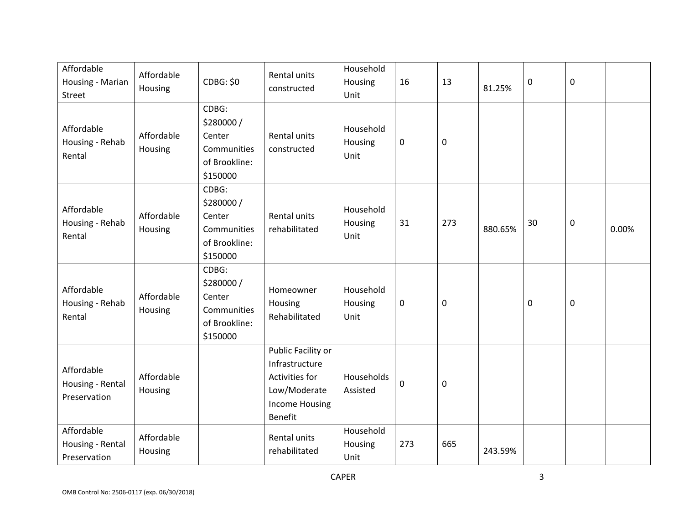| Affordable<br>Housing - Marian<br>Street       | Affordable<br>Housing | <b>CDBG: \$0</b>                                                         | Rental units<br>constructed                                                                                | Household<br>Housing<br>Unit | 16          | 13  | 81.25%  | 0                | $\pmb{0}$   |       |
|------------------------------------------------|-----------------------|--------------------------------------------------------------------------|------------------------------------------------------------------------------------------------------------|------------------------------|-------------|-----|---------|------------------|-------------|-------|
| Affordable<br>Housing - Rehab<br>Rental        | Affordable<br>Housing | CDBG:<br>\$280000/<br>Center<br>Communities<br>of Brookline:<br>\$150000 | Rental units<br>constructed                                                                                | Household<br>Housing<br>Unit | 0           | 0   |         |                  |             |       |
| Affordable<br>Housing - Rehab<br>Rental        | Affordable<br>Housing | CDBG:<br>\$280000/<br>Center<br>Communities<br>of Brookline:<br>\$150000 | Rental units<br>rehabilitated                                                                              | Household<br>Housing<br>Unit | 31          | 273 | 880.65% | 30               | $\mathbf 0$ | 0.00% |
| Affordable<br>Housing - Rehab<br>Rental        | Affordable<br>Housing | CDBG:<br>\$280000/<br>Center<br>Communities<br>of Brookline:<br>\$150000 | Homeowner<br>Housing<br>Rehabilitated                                                                      | Household<br>Housing<br>Unit | 0           | 0   |         | $\boldsymbol{0}$ | $\pmb{0}$   |       |
| Affordable<br>Housing - Rental<br>Preservation | Affordable<br>Housing |                                                                          | Public Facility or<br>Infrastructure<br>Activities for<br>Low/Moderate<br><b>Income Housing</b><br>Benefit | Households<br>Assisted       | $\mathbf 0$ | 0   |         |                  |             |       |
| Affordable<br>Housing - Rental<br>Preservation | Affordable<br>Housing |                                                                          | Rental units<br>rehabilitated                                                                              | Household<br>Housing<br>Unit | 273         | 665 | 243.59% |                  |             |       |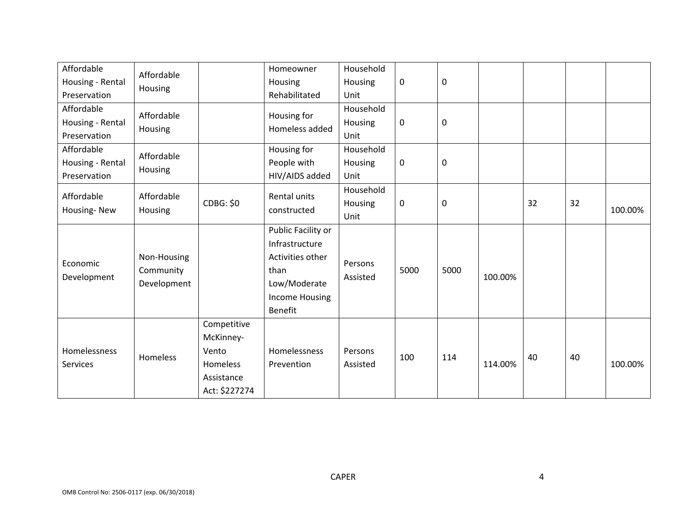| Affordable<br>Housing - Rental<br>Preservation | Affordable<br>Housing                   |                                                                              | Homeowner<br>Housing<br>Rehabilitated                                                                         | Household<br>Housing<br>Unit | $\pmb{0}$   | 0           |         |    |    |         |
|------------------------------------------------|-----------------------------------------|------------------------------------------------------------------------------|---------------------------------------------------------------------------------------------------------------|------------------------------|-------------|-------------|---------|----|----|---------|
| Affordable<br>Housing - Rental<br>Preservation | Affordable<br>Housing                   |                                                                              | Housing for<br>Homeless added                                                                                 | Household<br>Housing<br>Unit | $\mathbf 0$ | 0           |         |    |    |         |
| Affordable<br>Housing - Rental<br>Preservation | Affordable<br>Housing                   |                                                                              | Housing for<br>People with<br>HIV/AIDS added                                                                  | Household<br>Housing<br>Unit | $\mathbf 0$ | 0           |         |    |    |         |
| Affordable<br>Housing-New                      | Affordable<br>Housing                   | CDBG: \$0                                                                    | Rental units<br>constructed                                                                                   | Household<br>Housing<br>Unit | $\mathbf 0$ | $\mathbf 0$ |         | 32 | 32 | 100.00% |
| Economic<br>Development                        | Non-Housing<br>Community<br>Development |                                                                              | Public Facility or<br>Infrastructure<br>Activities other<br>than<br>Low/Moderate<br>Income Housing<br>Benefit | Persons<br>Assisted          | 5000        | 5000        | 100.00% |    |    |         |
| Homelessness<br>Services                       | Homeless                                | Competitive<br>McKinney-<br>Vento<br>Homeless<br>Assistance<br>Act: \$227274 | Homelessness<br>Prevention                                                                                    | Persons<br>Assisted          | 100         | 114         | 114.00% | 40 | 40 | 100.00% |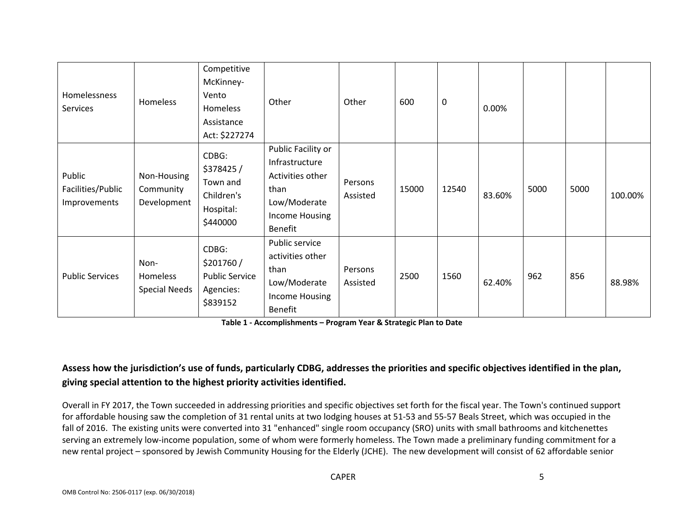| Homelessness<br>Services                    | Homeless                                 | Competitive<br>McKinney-<br>Vento<br><b>Homeless</b><br>Assistance<br>Act: \$227274 | Other                                                                                                         | Other               | 600   | 0     | 0.00%  |      |      |         |
|---------------------------------------------|------------------------------------------|-------------------------------------------------------------------------------------|---------------------------------------------------------------------------------------------------------------|---------------------|-------|-------|--------|------|------|---------|
| Public<br>Facilities/Public<br>Improvements | Non-Housing<br>Community<br>Development  | CDBG:<br>\$378425/<br>Town and<br>Children's<br>Hospital:<br>\$440000               | Public Facility or<br>Infrastructure<br>Activities other<br>than<br>Low/Moderate<br>Income Housing<br>Benefit | Persons<br>Assisted | 15000 | 12540 | 83.60% | 5000 | 5000 | 100.00% |
| <b>Public Services</b>                      | Non-<br>Homeless<br><b>Special Needs</b> | CDBG:<br>\$201760/<br><b>Public Service</b><br>Agencies:<br>\$839152                | Public service<br>activities other<br>than<br>Low/Moderate<br>Income Housing<br><b>Benefit</b>                | Persons<br>Assisted | 2500  | 1560  | 62.40% | 962  | 856  | 88.98%  |

**Table 1 ‐ Accomplishments – Program Year & Strategic Plan to Date**

### Assess how the jurisdiction's use of funds, particularly CDBG, addresses the priorities and specific objectives identified in the plan, **giving special attention to the highest priority activities identified.**

Overall in FY 2017, the Town succeeded in addressing priorities and specific objectives set forth for the fiscal year. The Town's continued support for affordable housing saw the completion of 31 rental units at two lodging houses at 51‐53 and 55‐57 Beals Street, which was occupied in the fall of 2016. The existing units were converted into 31 "enhanced" single room occupancy (SRO) units with small bathrooms and kitchenettes serving an extremely low-income population, some of whom were formerly homeless. The Town made a preliminary funding commitment for a new rental project – sponsored by Jewish Community Housing for the Elderly (JCHE). The new development will consist of 62 affordable senior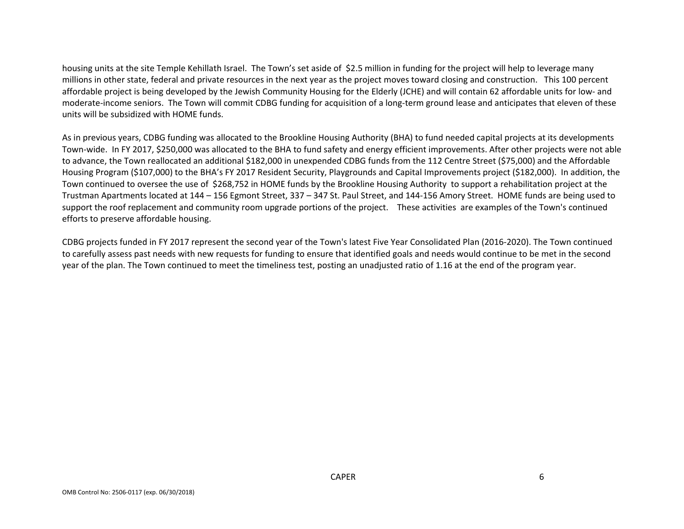housing units at the site Temple Kehillath Israel. The Town's set aside of \$2.5 million in funding for the project will help to leverage many millions in other state, federal and private resources in the next year as the project moves toward closing and construction. This 100 percent affordable project is being developed by the Jewish Community Housing for the Elderly (JCHE) and will contain 62 affordable units for low‐ and moderate‐income seniors. The Town will commit CDBG funding for acquisition of <sup>a</sup> long‐term ground lease and anticipates that eleven of these units will be subsidized with HOME funds.

As in previous years, CDBG funding was allocated to the Brookline Housing Authority (BHA) to fund needed capital projects at its developments Town‐wide. In FY 2017, \$250,000 was allocated to the BHA to fund safety and energy efficient improvements. After other projects were not able to advance, the Town reallocated an additional \$182,000 in unexpended CDBG funds from the <sup>112</sup> Centre Street (\$75,000) and the Affordable Housing Program (\$107,000) to the BHA's FY 2017 Resident Security, Playgrounds and Capital Improvements project (\$182,000). In addition, the Town continued to oversee the use of \$268,752 in HOME funds by the Brookline Housing Authority to support <sup>a</sup> rehabilitation project at the Trustman Apartments located at 144 – 156 Egmont Street, 337 – 347 St. Paul Street, and 144‐156 Amory Street. HOME funds are being used to support the roof replacement and community room upgrade portions of the project. These activities are examples of the Town's continued efforts to preserve affordable housing.

CDBG projects funded in FY 2017 represent the second year of the Town's latest Five Year Consolidated Plan (2016‐2020). The Town continued to carefully assess past needs with new requests for funding to ensure that identified goals and needs would continue to be met in the second year of the plan. The Town continued to meet the timeliness test, posting an unadjusted ratio of 1.16 at the end of the program year.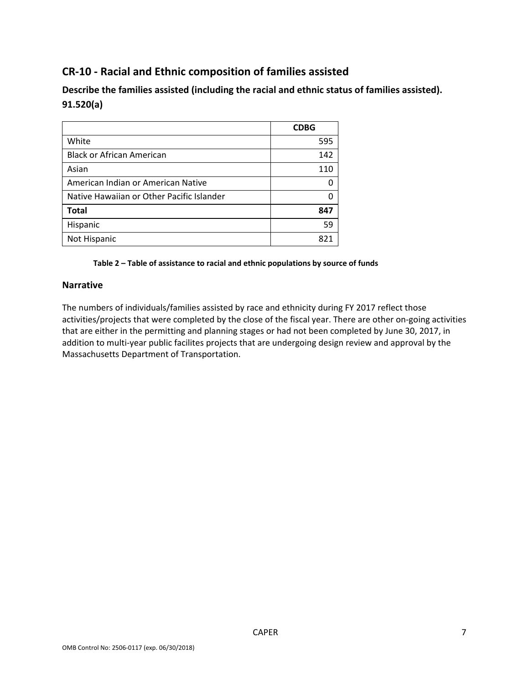### **CR‐10 ‐ Racial and Ethnic composition of families assisted**

**Describe the families assisted (including the racial and ethnic status of families assisted). 91.520(a)** 

|                                           | <b>CDBG</b> |
|-------------------------------------------|-------------|
| White                                     | 595         |
| <b>Black or African American</b>          | 142         |
| Asian                                     | 110         |
| American Indian or American Native        |             |
| Native Hawaiian or Other Pacific Islander |             |
| <b>Total</b>                              | 847         |
| Hispanic                                  | 59          |
| Not Hispanic                              | 821         |

#### **Table 2 – Table of assistance to racial and ethnic populations by source of funds**

#### **Narrative**

The numbers of individuals/families assisted by race and ethnicity during FY 2017 reflect those activities/projects that were completed by the close of the fiscal year. There are other on‐going activities that are either in the permitting and planning stages or had not been completed by June 30, 2017, in addition to multi-year public facilites projects that are undergoing design review and approval by the Massachusetts Department of Transportation.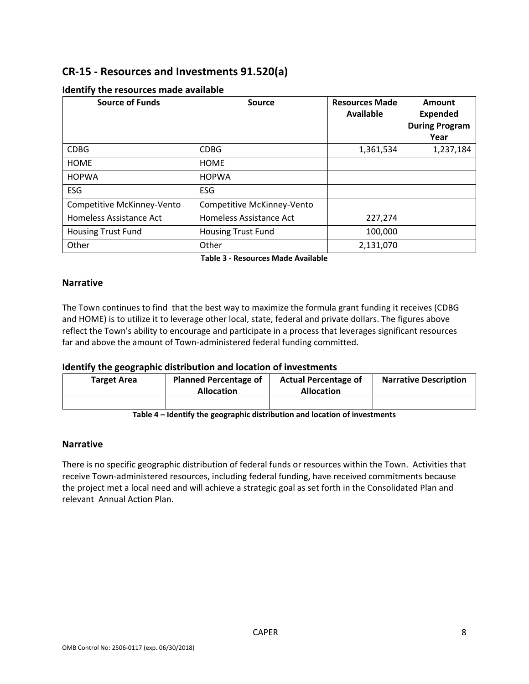### **CR‐15 ‐ Resources and Investments 91.520(a)**

| <b>Source of Funds</b>     | <b>Source</b>              | <b>Resources Made</b><br>Available | Amount<br><b>Expended</b><br><b>During Program</b><br>Year |
|----------------------------|----------------------------|------------------------------------|------------------------------------------------------------|
| <b>CDBG</b>                | <b>CDBG</b>                | 1,361,534                          | 1,237,184                                                  |
| <b>HOME</b>                | <b>HOME</b>                |                                    |                                                            |
| <b>HOPWA</b>               | <b>HOPWA</b>               |                                    |                                                            |
| ESG                        | ESG                        |                                    |                                                            |
| Competitive McKinney-Vento | Competitive McKinney-Vento |                                    |                                                            |
| Homeless Assistance Act    | Homeless Assistance Act    | 227,274                            |                                                            |
| <b>Housing Trust Fund</b>  | <b>Housing Trust Fund</b>  | 100,000                            |                                                            |
| Other                      | Other                      | 2,131,070                          |                                                            |

#### **Identify the resources made available**

**Table 3 ‐ Resources Made Available**

#### **Narrative**

The Town continues to find that the best way to maximize the formula grant funding it receives (CDBG and HOME) is to utilize it to leverage other local, state, federal and private dollars. The figures above reflect the Town's ability to encourage and participate in a process that leverages significant resources far and above the amount of Town‐administered federal funding committed.

#### **Identify the geographic distribution and location of investments**

| <b>Target Area</b> | <b>Planned Percentage of</b><br><b>Allocation</b> | <b>Actual Percentage of</b><br><b>Allocation</b> | <b>Narrative Description</b> |
|--------------------|---------------------------------------------------|--------------------------------------------------|------------------------------|
|                    |                                                   |                                                  |                              |

**Table 4 – Identify the geographic distribution and location of investments**

#### **Narrative**

There is no specific geographic distribution of federal funds or resources within the Town. Activities that receive Town‐administered resources, including federal funding, have received commitments because the project met a local need and will achieve a strategic goal as set forth in the Consolidated Plan and relevant Annual Action Plan.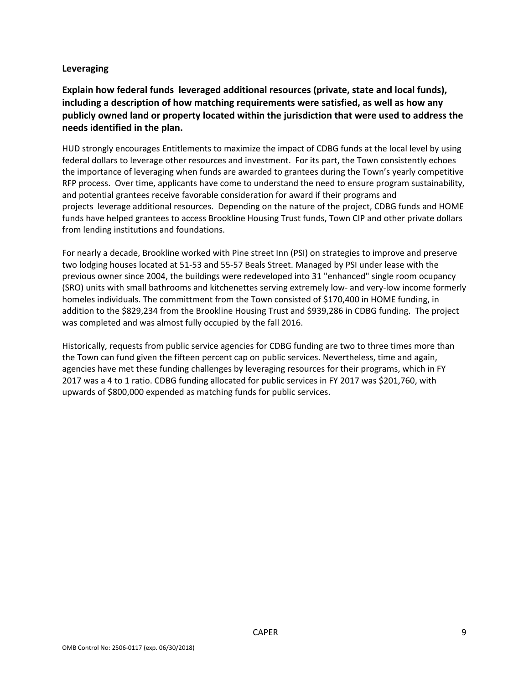### **Leveraging**

**Explain how federal funds leveraged additional resources (private, state and local funds), including a description of how matching requirements were satisfied, as well as how any publicly owned land or property located within the jurisdiction that were used to address the needs identified in the plan.**

HUD strongly encourages Entitlements to maximize the impact of CDBG funds at the local level by using federal dollars to leverage other resources and investment. For its part, the Town consistently echoes the importance of leveraging when funds are awarded to grantees during the Town's yearly competitive RFP process. Over time, applicants have come to understand the need to ensure program sustainability, and potential grantees receive favorable consideration for award if their programs and projects leverage additional resources. Depending on the nature of the project, CDBG funds and HOME funds have helped grantees to access Brookline Housing Trust funds, Town CIP and other private dollars from lending institutions and foundations.

For nearly a decade, Brookline worked with Pine street Inn (PSI) on strategies to improve and preserve two lodging houses located at 51‐53 and 55‐57 Beals Street. Managed by PSI under lease with the previous owner since 2004, the buildings were redeveloped into 31 "enhanced" single room ocupancy (SRO) units with small bathrooms and kitchenettes serving extremely low‐ and very‐low income formerly homeles individuals. The committment from the Town consisted of \$170,400 in HOME funding, in addition to the \$829,234 from the Brookline Housing Trust and \$939,286 in CDBG funding. The project was completed and was almost fully occupied by the fall 2016.

Historically, requests from public service agencies for CDBG funding are two to three times more than the Town can fund given the fifteen percent cap on public services. Nevertheless, time and again, agencies have met these funding challenges by leveraging resources for their programs, which in FY 2017 was a 4 to 1 ratio. CDBG funding allocated for public services in FY 2017 was \$201,760, with upwards of \$800,000 expended as matching funds for public services.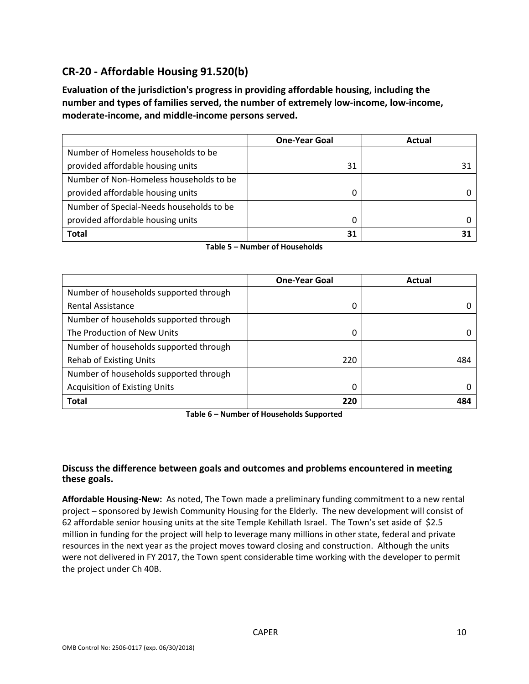### **CR‐20 ‐ Affordable Housing 91.520(b)**

**Evaluation of the jurisdiction's progress in providing affordable housing, including the number and types of families served, the number of extremely low‐income, low‐income, moderate‐income, and middle‐income persons served.**

|                                          | <b>One-Year Goal</b> | Actual |
|------------------------------------------|----------------------|--------|
| Number of Homeless households to be      |                      |        |
| provided affordable housing units        | 31                   | 31     |
| Number of Non-Homeless households to be  |                      |        |
| provided affordable housing units        |                      |        |
| Number of Special-Needs households to be |                      |        |
| provided affordable housing units        | 0                    |        |
| <b>Total</b>                             | 31                   |        |

| Table 5 – Number of Households |  |
|--------------------------------|--|
|--------------------------------|--|

|                                        | <b>One-Year Goal</b> | Actual |
|----------------------------------------|----------------------|--------|
| Number of households supported through |                      |        |
| <b>Rental Assistance</b>               | 0                    |        |
| Number of households supported through |                      |        |
| The Production of New Units            | 0                    |        |
| Number of households supported through |                      |        |
| <b>Rehab of Existing Units</b>         | 220                  | 484    |
| Number of households supported through |                      |        |
| <b>Acquisition of Existing Units</b>   | 0                    |        |
| <b>Total</b>                           | 220                  | 484    |

**Table 6 – Number of Households Supported**

### **Discuss the difference between goals and outcomes and problems encountered in meeting these goals.**

**Affordable Housing‐New:** As noted, The Town made a preliminary funding commitment to a new rental project – sponsored by Jewish Community Housing for the Elderly. The new development will consist of 62 affordable senior housing units at the site Temple Kehillath Israel. The Town's set aside of \$2.5 million in funding for the project will help to leverage many millions in other state, federal and private resources in the next year as the project moves toward closing and construction. Although the units were not delivered in FY 2017, the Town spent considerable time working with the developer to permit the project under Ch 40B.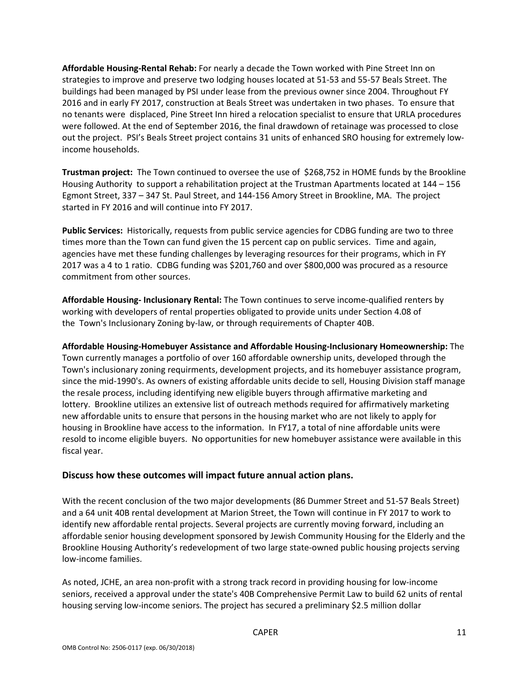**Affordable Housing‐Rental Rehab:** For nearly a decade the Town worked with Pine Street Inn on strategies to improve and preserve two lodging houses located at 51‐53 and 55‐57 Beals Street. The buildings had been managed by PSI under lease from the previous owner since 2004. Throughout FY 2016 and in early FY 2017, construction at Beals Street was undertaken in two phases. To ensure that no tenants were displaced, Pine Street Inn hired a relocation specialist to ensure that URLA procedures were followed. At the end of September 2016, the final drawdown of retainage was processed to close out the project. PSI's Beals Street project contains 31 units of enhanced SRO housing for extremely lowincome households.

**Trustman project:** The Town continued to oversee the use of \$268,752 in HOME funds by the Brookline Housing Authority to support a rehabilitation project at the Trustman Apartments located at 144 – 156 Egmont Street, 337 – 347 St. Paul Street, and 144‐156 Amory Street in Brookline, MA. The project started in FY 2016 and will continue into FY 2017.

**Public Services:** Historically, requests from public service agencies for CDBG funding are two to three times more than the Town can fund given the 15 percent cap on public services. Time and again, agencies have met these funding challenges by leveraging resources for their programs, which in FY 2017 was a 4 to 1 ratio. CDBG funding was \$201,760 and over \$800,000 was procured as a resource commitment from other sources.

**Affordable Housing‐ Inclusionary Rental:** The Town continues to serve income‐qualified renters by working with developers of rental properties obligated to provide units under Section 4.08 of the Town's Inclusionary Zoning by‐law, or through requirements of Chapter 40B.

**Affordable Housing‐Homebuyer Assistance and Affordable Housing‐Inclusionary Homeownership:** The Town currently manages a portfolio of over 160 affordable ownership units, developed through the Town's inclusionary zoning requirments, development projects, and its homebuyer assistance program, since the mid‐1990's. As owners of existing affordable units decide to sell, Housing Division staff manage the resale process, including identifying new eligible buyers through affirmative marketing and lottery. Brookline utilizes an extensive list of outreach methods required for affirmatively marketing new affordable units to ensure that persons in the housing market who are not likely to apply for housing in Brookline have access to the information. In FY17, a total of nine affordable units were resold to income eligible buyers. No opportunities for new homebuyer assistance were available in this fiscal year.

#### **Discuss how these outcomes will impact future annual action plans.**

With the recent conclusion of the two major developments (86 Dummer Street and 51‐57 Beals Street) and a 64 unit 40B rental development at Marion Street, the Town will continue in FY 2017 to work to identify new affordable rental projects. Several projects are currently moving forward, including an affordable senior housing development sponsored by Jewish Community Housing for the Elderly and the Brookline Housing Authority's redevelopment of two large state‐owned public housing projects serving low‐income families.

As noted, JCHE, an area non‐profit with a strong track record in providing housing for low‐income seniors, received a approval under the state's 40B Comprehensive Permit Law to build 62 units of rental housing serving low‐income seniors. The project has secured a preliminary \$2.5 million dollar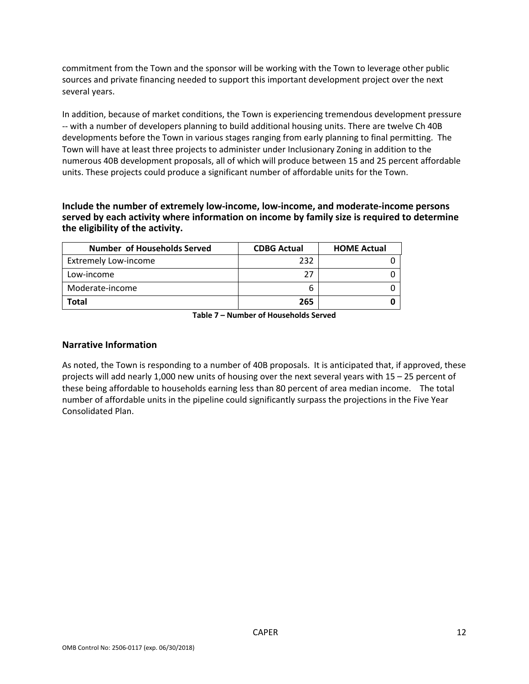commitment from the Town and the sponsor will be working with the Town to leverage other public sources and private financing needed to support this important development project over the next several years.

In addition, because of market conditions, the Town is experiencing tremendous development pressure ‐‐ with a number of developers planning to build additional housing units. There are twelve Ch 40B developments before the Town in various stages ranging from early planning to final permitting. The Town will have at least three projects to administer under Inclusionary Zoning in addition to the numerous 40B development proposals, all of which will produce between 15 and 25 percent affordable units. These projects could produce a significant number of affordable units for the Town.

**Include the number of extremely low‐income, low‐income, and moderate‐income persons served by each activity where information on income by family size is required to determine the eligibility of the activity.**

| <b>Number of Households Served</b> | <b>CDBG Actual</b> | <b>HOME Actual</b> |
|------------------------------------|--------------------|--------------------|
| <b>Extremely Low-income</b>        | 232                |                    |
| Low-income                         | 77                 |                    |
| Moderate-income                    |                    |                    |
| Total                              | 265                |                    |

**Table 7 – Number of Households Served**

#### **Narrative Information**

As noted, the Town is responding to a number of 40B proposals. It is anticipated that, if approved, these projects will add nearly 1,000 new units of housing over the next several years with 15 – 25 percent of these being affordable to households earning less than 80 percent of area median income. The total number of affordable units in the pipeline could significantly surpass the projections in the Five Year Consolidated Plan.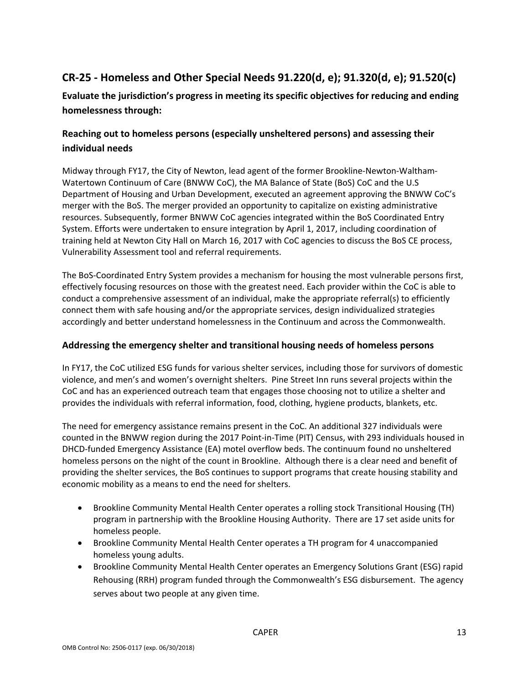### **CR‐25 ‐ Homeless and Other Special Needs 91.220(d, e); 91.320(d, e); 91.520(c)**

**Evaluate the jurisdiction's progress in meeting its specific objectives for reducing and ending homelessness through:**

### **Reaching out to homeless persons (especially unsheltered persons) and assessing their individual needs**

Midway through FY17, the City of Newton, lead agent of the former Brookline‐Newton‐Waltham‐ Watertown Continuum of Care (BNWW CoC), the MA Balance of State (BoS) CoC and the U.S Department of Housing and Urban Development, executed an agreement approving the BNWW CoC's merger with the BoS. The merger provided an opportunity to capitalize on existing administrative resources. Subsequently, former BNWW CoC agencies integrated within the BoS Coordinated Entry System. Efforts were undertaken to ensure integration by April 1, 2017, including coordination of training held at Newton City Hall on March 16, 2017 with CoC agencies to discuss the BoS CE process, Vulnerability Assessment tool and referral requirements.

The BoS‐Coordinated Entry System provides a mechanism for housing the most vulnerable persons first, effectively focusing resources on those with the greatest need. Each provider within the CoC is able to conduct a comprehensive assessment of an individual, make the appropriate referral(s) to efficiently connect them with safe housing and/or the appropriate services, design individualized strategies accordingly and better understand homelessness in the Continuum and across the Commonwealth.

### **Addressing the emergency shelter and transitional housing needs of homeless persons**

In FY17, the CoC utilized ESG funds for various shelter services, including those for survivors of domestic violence, and men's and women's overnight shelters. Pine Street Inn runs several projects within the CoC and has an experienced outreach team that engages those choosing not to utilize a shelter and provides the individuals with referral information, food, clothing, hygiene products, blankets, etc.

The need for emergency assistance remains present in the CoC. An additional 327 individuals were counted in the BNWW region during the 2017 Point-in-Time (PIT) Census, with 293 individuals housed in DHCD‐funded Emergency Assistance (EA) motel overflow beds. The continuum found no unsheltered homeless persons on the night of the count in Brookline. Although there is a clear need and benefit of providing the shelter services, the BoS continues to support programs that create housing stability and economic mobility as a means to end the need for shelters.

- Brookline Community Mental Health Center operates a rolling stock Transitional Housing (TH) program in partnership with the Brookline Housing Authority. There are 17 set aside units for homeless people.
- Brookline Community Mental Health Center operates a TH program for 4 unaccompanied homeless young adults.
- Brookline Community Mental Health Center operates an Emergency Solutions Grant (ESG) rapid Rehousing (RRH) program funded through the Commonwealth's ESG disbursement. The agency serves about two people at any given time.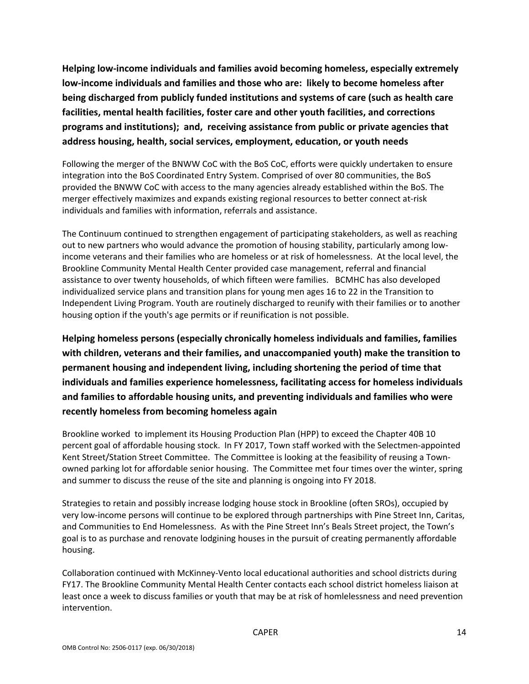**Helping low‐income individuals and families avoid becoming homeless, especially extremely low‐income individuals and families and those who are: likely to become homeless after being discharged from publicly funded institutions and systems of care (such as health care facilities, mental health facilities, foster care and other youth facilities, and corrections programs and institutions); and, receiving assistance from public or private agencies that address housing, health, social services, employment, education, or youth needs**

Following the merger of the BNWW CoC with the BoS CoC, efforts were quickly undertaken to ensure integration into the BoS Coordinated Entry System. Comprised of over 80 communities, the BoS provided the BNWW CoC with access to the many agencies already established within the BoS. The merger effectively maximizes and expands existing regional resources to better connect at‐risk individuals and families with information, referrals and assistance.

The Continuum continued to strengthen engagement of participating stakeholders, as well as reaching out to new partners who would advance the promotion of housing stability, particularly among low‐ income veterans and their families who are homeless or at risk of homelessness. At the local level, the Brookline Community Mental Health Center provided case management, referral and financial assistance to over twenty households, of which fifteen were families. BCMHC has also developed individualized service plans and transition plans for young men ages 16 to 22 in the Transition to Independent Living Program. Youth are routinely discharged to reunify with their families or to another housing option if the youth's age permits or if reunification is not possible.

**Helping homeless persons (especially chronically homeless individuals and families, families with children, veterans and their families, and unaccompanied youth) make the transition to permanent housing and independent living, including shortening the period of time that individuals and families experience homelessness, facilitating access for homeless individuals and families to affordable housing units, and preventing individuals and families who were recently homeless from becoming homeless again**

Brookline worked to implement its Housing Production Plan (HPP) to exceed the Chapter 40B 10 percent goal of affordable housing stock. In FY 2017, Town staff worked with the Selectmen-appointed Kent Street/Station Street Committee. The Committee is looking at the feasibility of reusing a Townowned parking lot for affordable senior housing. The Committee met four times over the winter, spring and summer to discuss the reuse of the site and planning is ongoing into FY 2018.

Strategies to retain and possibly increase lodging house stock in Brookline (often SROs), occupied by very low‐income persons will continue to be explored through partnerships with Pine Street Inn, Caritas, and Communities to End Homelessness. As with the Pine Street Inn's Beals Street project, the Town's goal is to as purchase and renovate lodgining houses in the pursuit of creating permanently affordable housing.

Collaboration continued with McKinney‐Vento local educational authorities and school districts during FY17. The Brookline Community Mental Health Center contacts each school district homeless liaison at least once a week to discuss families or youth that may be at risk of homlelessness and need prevention intervention.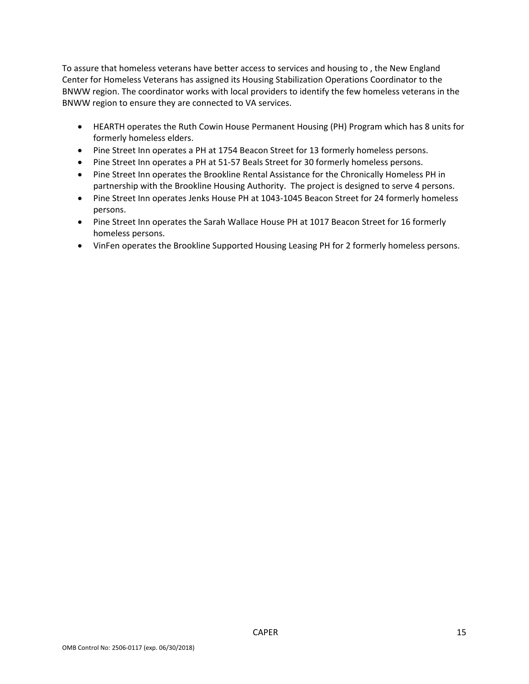To assure that homeless veterans have better access to services and housing to , the New England Center for Homeless Veterans has assigned its Housing Stabilization Operations Coordinator to the BNWW region. The coordinator works with local providers to identify the few homeless veterans in the BNWW region to ensure they are connected to VA services.

- HEARTH operates the Ruth Cowin House Permanent Housing (PH) Program which has 8 units for formerly homeless elders.
- Pine Street Inn operates a PH at 1754 Beacon Street for 13 formerly homeless persons.
- Pine Street Inn operates a PH at 51-57 Beals Street for 30 formerly homeless persons.
- Pine Street Inn operates the Brookline Rental Assistance for the Chronically Homeless PH in partnership with the Brookline Housing Authority. The project is designed to serve 4 persons.
- Pine Street Inn operates Jenks House PH at 1043-1045 Beacon Street for 24 formerly homeless persons.
- Pine Street Inn operates the Sarah Wallace House PH at 1017 Beacon Street for 16 formerly homeless persons.
- VinFen operates the Brookline Supported Housing Leasing PH for 2 formerly homeless persons.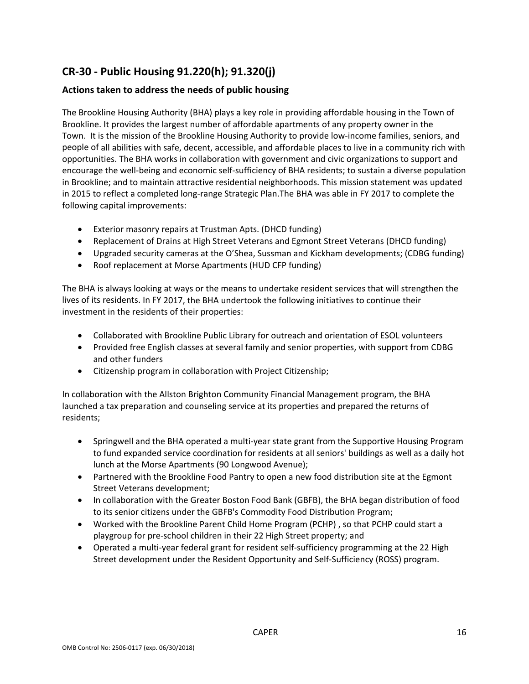### **CR‐30 ‐ Public Housing 91.220(h); 91.320(j)**

### **Actions taken to address the needs of public housing**

The Brookline Housing Authority (BHA) plays a key role in providing affordable housing in the Town of Brookline. It provides the largest number of affordable apartments of any property owner in the Town. It is the mission of the Brookline Housing Authority to provide low‐income families, seniors, and people of all abilities with safe, decent, accessible, and affordable places to live in a community rich with opportunities. The BHA works in collaboration with government and civic organizations to support and encourage the well‐being and economic self‐sufficiency of BHA residents; to sustain a diverse population in Brookline; and to maintain attractive residential neighborhoods. This mission statement was updated in 2015 to reflect a completed long‐range Strategic Plan.The BHA was able in FY 2017 to complete the following capital improvements:

- Exterior masonry repairs at Trustman Apts. (DHCD funding)
- Replacement of Drains at High Street Veterans and Egmont Street Veterans (DHCD funding)
- Upgraded security cameras at the O'Shea, Sussman and Kickham developments; (CDBG funding)
- Roof replacement at Morse Apartments (HUD CFP funding)

The BHA is always looking at ways or the means to undertake resident services that will strengthen the lives of its residents. In FY 2017, the BHA undertook the following initiatives to continue their investment in the residents of their properties:

- Collaborated with Brookline Public Library for outreach and orientation of ESOL volunteers
- Provided free English classes at several family and senior properties, with support from CDBG and other funders
- Citizenship program in collaboration with Project Citizenship;

In collaboration with the Allston Brighton Community Financial Management program, the BHA launched a tax preparation and counseling service at its properties and prepared the returns of residents;

- Springwell and the BHA operated a multi-year state grant from the Supportive Housing Program to fund expanded service coordination for residents at all seniors' buildings as well as a daily hot lunch at the Morse Apartments (90 Longwood Avenue);
- Partnered with the Brookline Food Pantry to open a new food distribution site at the Egmont Street Veterans development;
- In collaboration with the Greater Boston Food Bank (GBFB), the BHA began distribution of food to its senior citizens under the GBFB's Commodity Food Distribution Program;
- Worked with the Brookline Parent Child Home Program (PCHP) , so that PCHP could start a playgroup for pre‐school children in their 22 High Street property; and
- Operated a multi-year federal grant for resident self-sufficiency programming at the 22 High Street development under the Resident Opportunity and Self‐Sufficiency (ROSS) program.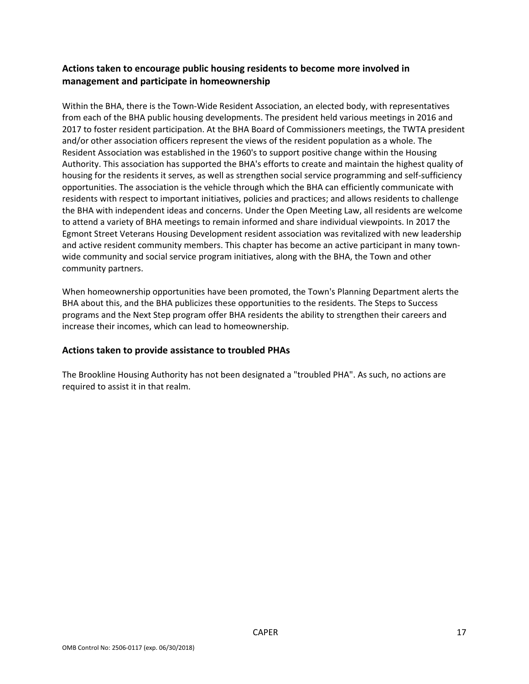### **Actions taken to encourage public housing residents to become more involved in management and participate in homeownership**

Within the BHA, there is the Town-Wide Resident Association, an elected body, with representatives from each of the BHA public housing developments. The president held various meetings in 2016 and 2017 to foster resident participation. At the BHA Board of Commissioners meetings, the TWTA president and/or other association officers represent the views of the resident population as a whole. The Resident Association was established in the 1960's to support positive change within the Housing Authority. This association has supported the BHA's efforts to create and maintain the highest quality of housing for the residents it serves, as well as strengthen social service programming and self-sufficiency opportunities. The association is the vehicle through which the BHA can efficiently communicate with residents with respect to important initiatives, policies and practices; and allows residents to challenge the BHA with independent ideas and concerns. Under the Open Meeting Law, all residents are welcome to attend a variety of BHA meetings to remain informed and share individual viewpoints. In 2017 the Egmont Street Veterans Housing Development resident association was revitalized with new leadership and active resident community members. This chapter has become an active participant in many townwide community and social service program initiatives, along with the BHA, the Town and other community partners.

When homeownership opportunities have been promoted, the Town's Planning Department alerts the BHA about this, and the BHA publicizes these opportunities to the residents. The Steps to Success programs and the Next Step program offer BHA residents the ability to strengthen their careers and increase their incomes, which can lead to homeownership.

#### **Actions taken to provide assistance to troubled PHAs**

The Brookline Housing Authority has not been designated a "troubled PHA". As such, no actions are required to assist it in that realm.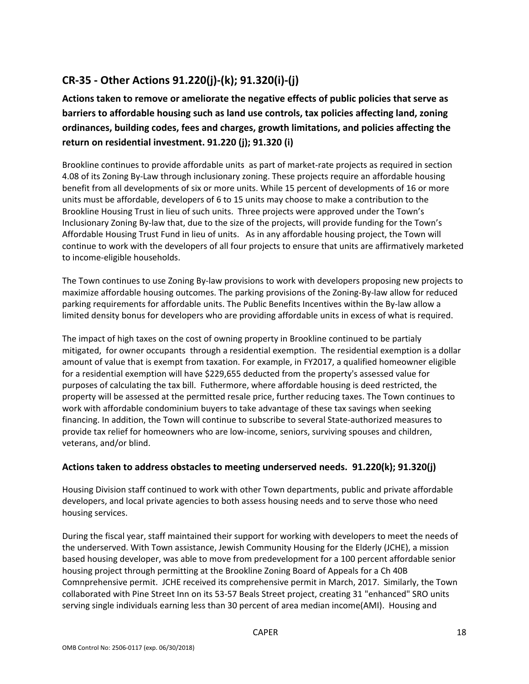### **CR‐35 ‐ Other Actions 91.220(j)‐(k); 91.320(i)‐(j)**

### **Actions taken to remove or ameliorate the negative effects of public policies that serve as barriers to affordable housing such as land use controls, tax policies affecting land, zoning ordinances, building codes, fees and charges, growth limitations, and policies affecting the return on residential investment. 91.220 (j); 91.320 (i)**

Brookline continues to provide affordable units as part of market‐rate projects as required in section 4.08 of its Zoning By‐Law through inclusionary zoning. These projects require an affordable housing benefit from all developments of six or more units. While 15 percent of developments of 16 or more units must be affordable, developers of 6 to 15 units may choose to make a contribution to the Brookline Housing Trust in lieu of such units. Three projects were approved under the Town's Inclusionary Zoning By‐law that, due to the size of the projects, will provide funding for the Town's Affordable Housing Trust Fund in lieu of units. As in any affordable housing project, the Town will continue to work with the developers of all four projects to ensure that units are affirmatively marketed to income‐eligible households.

The Town continues to use Zoning By-law provisions to work with developers proposing new projects to maximize affordable housing outcomes. The parking provisions of the Zoning‐By‐law allow for reduced parking requirements for affordable units. The Public Benefits Incentives within the By-law allow a limited density bonus for developers who are providing affordable units in excess of what is required.

The impact of high taxes on the cost of owning property in Brookline continued to be partialy mitigated, for owner occupants through a residential exemption. The residential exemption is a dollar amount of value that is exempt from taxation. For example, in FY2017, a qualified homeowner eligible for a residential exemption will have \$229,655 deducted from the property's assessed value for purposes of calculating the tax bill. Futhermore, where affordable housing is deed restricted, the property will be assessed at the permitted resale price, further reducing taxes. The Town continues to work with affordable condominium buyers to take advantage of these tax savings when seeking financing. In addition, the Town will continue to subscribe to several State-authorized measures to provide tax relief for homeowners who are low‐income, seniors, surviving spouses and children, veterans, and/or blind.

### **Actions taken to address obstacles to meeting underserved needs. 91.220(k); 91.320(j)**

Housing Division staff continued to work with other Town departments, public and private affordable developers, and local private agencies to both assess housing needs and to serve those who need housing services.

During the fiscal year, staff maintained their support for working with developers to meet the needs of the underserved. With Town assistance, Jewish Community Housing for the Elderly (JCHE), a mission based housing developer, was able to move from predevelopment for a 100 percent affordable senior housing project through permitting at the Brookline Zoning Board of Appeals for a Ch 40B Comnprehensive permit. JCHE received its comprehensive permit in March, 2017. Similarly, the Town collaborated with Pine Street Inn on its 53‐57 Beals Street project, creating 31 "enhanced" SRO units serving single individuals earning less than 30 percent of area median income(AMI). Housing and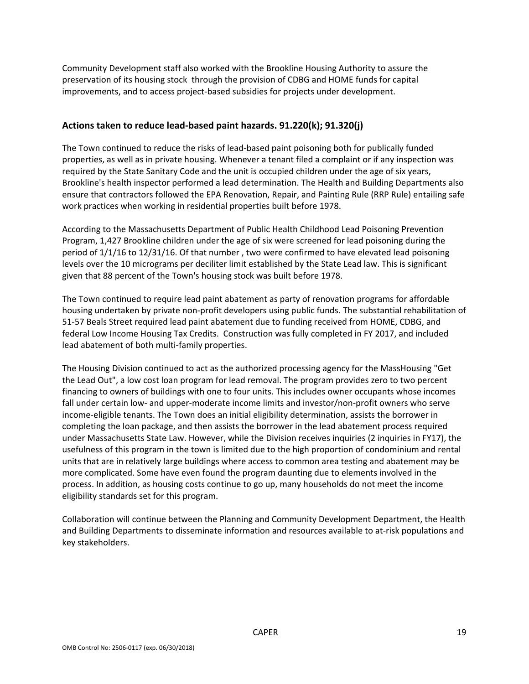Community Development staff also worked with the Brookline Housing Authority to assure the preservation of its housing stock through the provision of CDBG and HOME funds for capital improvements, and to access project-based subsidies for projects under development.

#### **Actions taken to reduce lead‐based paint hazards. 91.220(k); 91.320(j)**

The Town continued to reduce the risks of lead‐based paint poisoning both for publically funded properties, as well as in private housing. Whenever a tenant filed a complaint or if any inspection was required by the State Sanitary Code and the unit is occupied children under the age of six years, Brookline's health inspector performed a lead determination. The Health and Building Departments also ensure that contractors followed the EPA Renovation, Repair, and Painting Rule (RRP Rule) entailing safe work practices when working in residential properties built before 1978.

According to the Massachusetts Department of Public Health Childhood Lead Poisoning Prevention Program, 1,427 Brookline children under the age of six were screened for lead poisoning during the period of 1/1/16 to 12/31/16. Of that number , two were confirmed to have elevated lead poisoning levels over the 10 micrograms per deciliter limit established by the State Lead law. This is significant given that 88 percent of the Town's housing stock was built before 1978.

The Town continued to require lead paint abatement as party of renovation programs for affordable housing undertaken by private non-profit developers using public funds. The substantial rehabilitation of 51-57 Beals Street required lead paint abatement due to funding received from HOME, CDBG, and federal Low Income Housing Tax Credits. Construction was fully completed in FY 2017, and included lead abatement of both multi‐family properties.

The Housing Division continued to act as the authorized processing agency for the MassHousing "Get the Lead Out", a low cost loan program for lead removal. The program provides zero to two percent financing to owners of buildings with one to four units. This includes owner occupants whose incomes fall under certain low- and upper-moderate income limits and investor/non-profit owners who serve income‐eligible tenants. The Town does an initial eligibility determination, assists the borrower in completing the loan package, and then assists the borrower in the lead abatement process required under Massachusetts State Law. However, while the Division receives inquiries (2 inquiries in FY17), the usefulness of this program in the town is limited due to the high proportion of condominium and rental units that are in relatively large buildings where access to common area testing and abatement may be more complicated. Some have even found the program daunting due to elements involved in the process. In addition, as housing costs continue to go up, many households do not meet the income eligibility standards set for this program.

Collaboration will continue between the Planning and Community Development Department, the Health and Building Departments to disseminate information and resources available to at‐risk populations and key stakeholders.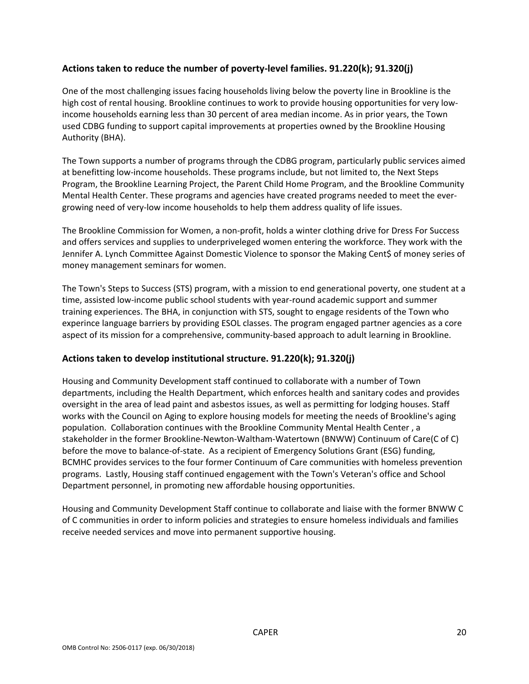### **Actions taken to reduce the number of poverty‐level families. 91.220(k); 91.320(j)**

One of the most challenging issues facing households living below the poverty line in Brookline is the high cost of rental housing. Brookline continues to work to provide housing opportunities for very low‐ income households earning less than 30 percent of area median income. As in prior years, the Town used CDBG funding to support capital improvements at properties owned by the Brookline Housing Authority (BHA).

The Town supports a number of programs through the CDBG program, particularly public services aimed at benefitting low‐income households. These programs include, but not limited to, the Next Steps Program, the Brookline Learning Project, the Parent Child Home Program, and the Brookline Community Mental Health Center. These programs and agencies have created programs needed to meet the ever‐ growing need of very‐low income households to help them address quality of life issues.

The Brookline Commission for Women, a non‐profit, holds a winter clothing drive for Dress For Success and offers services and supplies to underpriveleged women entering the workforce. They work with the Jennifer A. Lynch Committee Against Domestic Violence to sponsor the Making Cent\$ of money series of money management seminars for women.

The Town's Steps to Success (STS) program, with a mission to end generational poverty, one student at a time, assisted low‐income public school students with year‐round academic support and summer training experiences. The BHA, in conjunction with STS, sought to engage residents of the Town who experince language barriers by providing ESOL classes. The program engaged partner agencies as a core aspect of its mission for a comprehensive, community‐based approach to adult learning in Brookline.

### **Actions taken to develop institutional structure. 91.220(k); 91.320(j)**

Housing and Community Development staff continued to collaborate with a number of Town departments, including the Health Department, which enforces health and sanitary codes and provides oversight in the area of lead paint and asbestos issues, as well as permitting for lodging houses. Staff works with the Council on Aging to explore housing models for meeting the needs of Brookline's aging population. Collaboration continues with the Brookline Community Mental Health Center , a stakeholder in the former Brookline‐Newton‐Waltham‐Watertown (BNWW) Continuum of Care(C of C) before the move to balance-of-state. As a recipient of Emergency Solutions Grant (ESG) funding, BCMHC provides services to the four former Continuum of Care communities with homeless prevention programs. Lastly, Housing staff continued engagement with the Town's Veteran's office and School Department personnel, in promoting new affordable housing opportunities.

Housing and Community Development Staff continue to collaborate and liaise with the former BNWW C of C communities in order to inform policies and strategies to ensure homeless individuals and families receive needed services and move into permanent supportive housing.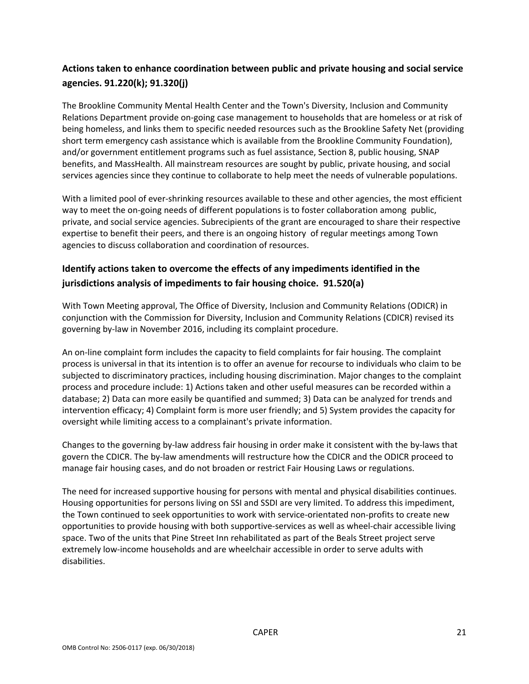### **Actions taken to enhance coordination between public and private housing and social service agencies. 91.220(k); 91.320(j)**

The Brookline Community Mental Health Center and the Town's Diversity, Inclusion and Community Relations Department provide on‐going case management to households that are homeless or at risk of being homeless, and links them to specific needed resources such as the Brookline Safety Net (providing short term emergency cash assistance which is available from the Brookline Community Foundation), and/or government entitlement programs such as fuel assistance, Section 8, public housing, SNAP benefits, and MassHealth. All mainstream resources are sought by public, private housing, and social services agencies since they continue to collaborate to help meet the needs of vulnerable populations.

With a limited pool of ever-shrinking resources available to these and other agencies, the most efficient way to meet the on-going needs of different populations is to foster collaboration among public, private, and social service agencies. Subrecipients of the grant are encouraged to share their respective expertise to benefit their peers, and there is an ongoing history of regular meetings among Town agencies to discuss collaboration and coordination of resources.

### **Identify actions taken to overcome the effects of any impediments identified in the jurisdictions analysis of impediments to fair housing choice. 91.520(a)**

With Town Meeting approval, The Office of Diversity, Inclusion and Community Relations (ODICR) in conjunction with the Commission for Diversity, Inclusion and Community Relations (CDICR) revised its governing by‐law in November 2016, including its complaint procedure.

An on‐line complaint form includes the capacity to field complaints for fair housing. The complaint process is universal in that its intention is to offer an avenue for recourse to individuals who claim to be subjected to discriminatory practices, including housing discrimination. Major changes to the complaint process and procedure include: 1) Actions taken and other useful measures can be recorded within a database; 2) Data can more easily be quantified and summed; 3) Data can be analyzed for trends and intervention efficacy; 4) Complaint form is more user friendly; and 5) System provides the capacity for oversight while limiting access to a complainant's private information.

Changes to the governing by‐law address fair housing in order make it consistent with the by‐laws that govern the CDICR. The by-law amendments will restructure how the CDICR and the ODICR proceed to manage fair housing cases, and do not broaden or restrict Fair Housing Laws or regulations.

The need for increased supportive housing for persons with mental and physical disabilities continues. Housing opportunities for persons living on SSI and SSDI are very limited. To address this impediment, the Town continued to seek opportunities to work with service‐orientated non‐profits to create new opportunities to provide housing with both supportive‐services as well as wheel‐chair accessible living space. Two of the units that Pine Street Inn rehabilitated as part of the Beals Street project serve extremely low‐income households and are wheelchair accessible in order to serve adults with disabilities.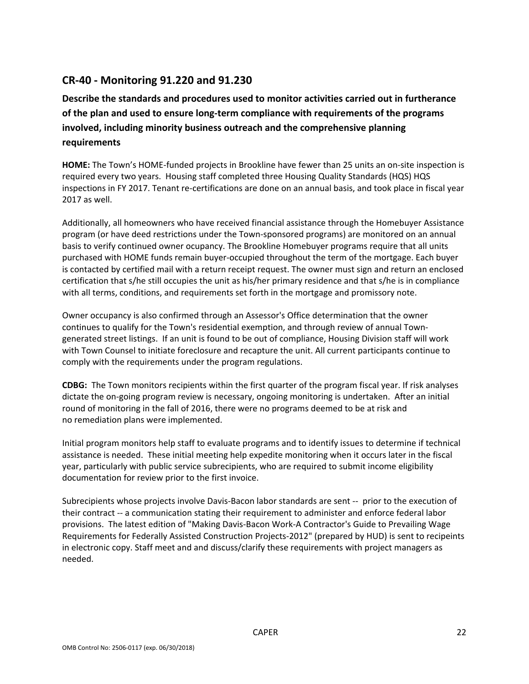### **CR‐40 ‐ Monitoring 91.220 and 91.230**

**Describe the standards and procedures used to monitor activities carried out in furtherance of the plan and used to ensure long‐term compliance with requirements of the programs involved, including minority business outreach and the comprehensive planning requirements**

**HOME:** The Town's HOME‐funded projects in Brookline have fewer than 25 units an on‐site inspection is required every two years. Housing staff completed three Housing Quality Standards (HQS) HQS inspections in FY 2017. Tenant re-certifications are done on an annual basis, and took place in fiscal year 2017 as well.

Additionally, all homeowners who have received financial assistance through the Homebuyer Assistance program (or have deed restrictions under the Town‐sponsored programs) are monitored on an annual basis to verify continued owner ocupancy. The Brookline Homebuyer programs require that all units purchased with HOME funds remain buyer‐occupied throughout the term of the mortgage. Each buyer is contacted by certified mail with a return receipt request. The owner must sign and return an enclosed certification that s/he still occupies the unit as his/her primary residence and that s/he is in compliance with all terms, conditions, and requirements set forth in the mortgage and promissory note.

Owner occupancy is also confirmed through an Assessor's Office determination that the owner continues to qualify for the Town's residential exemption, and through review of annual Town‐ generated street listings. If an unit is found to be out of compliance, Housing Division staff will work with Town Counsel to initiate foreclosure and recapture the unit. All current participants continue to comply with the requirements under the program regulations.

**CDBG:** The Town monitors recipients within the first quarter of the program fiscal year. If risk analyses dictate the on‐going program review is necessary, ongoing monitoring is undertaken. After an initial round of monitoring in the fall of 2016, there were no programs deemed to be at risk and no remediation plans were implemented.

Initial program monitors help staff to evaluate programs and to identify issues to determine if technical assistance is needed. These initial meeting help expedite monitoring when it occurs later in the fiscal year, particularly with public service subrecipients, who are required to submit income eligibility documentation for review prior to the first invoice.

Subrecipients whose projects involve Davis‐Bacon labor standards are sent ‐‐ prior to the execution of their contract ‐‐ a communication stating their requirement to administer and enforce federal labor provisions. The latest edition of "Making Davis‐Bacon Work‐A Contractor's Guide to Prevailing Wage Requirements for Federally Assisted Construction Projects‐2012" (prepared by HUD) is sent to recipeints in electronic copy. Staff meet and and discuss/clarify these requirements with project managers as needed.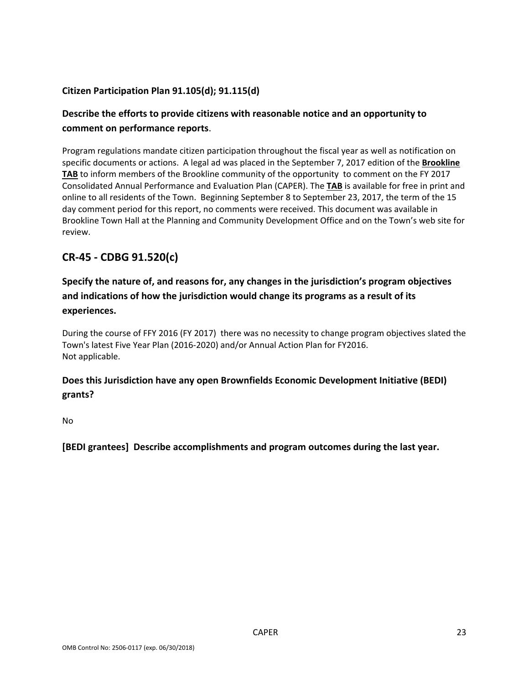### **Citizen Participation Plan 91.105(d); 91.115(d)**

### **Describe the efforts to provide citizens with reasonable notice and an opportunity to comment on performance reports**.

Program regulations mandate citizen participation throughout the fiscal year as well as notification on specific documents or actions. A legal ad was placed in the September 7, 2017 edition of the **Brookline TAB** to inform members of the Brookline community of the opportunity to comment on the FY 2017 Consolidated Annual Performance and Evaluation Plan (CAPER). The **TAB** is available for free in print and online to all residents of the Town. Beginning September 8 to September 23, 2017, the term of the 15 day comment period for this report, no comments were received. This document was available in Brookline Town Hall at the Planning and Community Development Office and on the Town's web site for review.

### **CR‐45 ‐ CDBG 91.520(c)**

### **Specify the nature of, and reasons for, any changes in the jurisdiction's program objectives and indications of how the jurisdiction would change its programs as a result of its experiences.**

During the course of FFY 2016 (FY 2017) there was no necessity to change program objectives slated the Town's latest Five Year Plan (2016‐2020) and/or Annual Action Plan for FY2016. Not applicable.

### **Does this Jurisdiction have any open Brownfields Economic Development Initiative (BEDI) grants?**

No

**[BEDI grantees] Describe accomplishments and program outcomes during the last year.**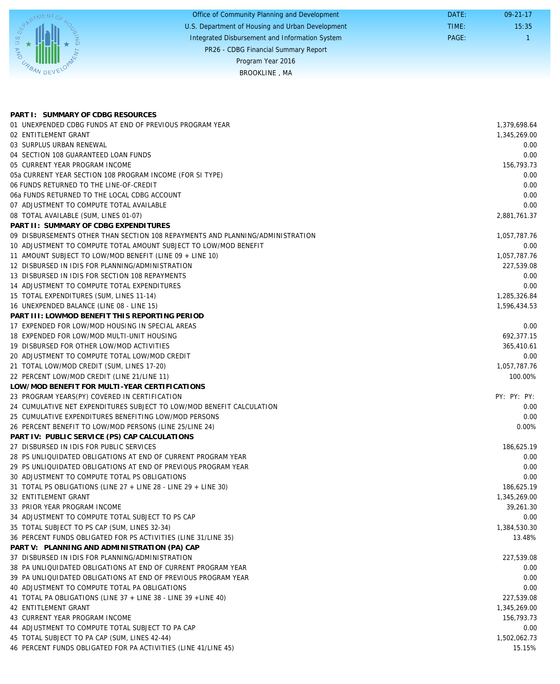|                | Office of Community Planning and Development     | DATE: | $09 - 21 - 17$ |
|----------------|--------------------------------------------------|-------|----------------|
|                | U.S. Department of Housing and Urban Development | TIME: | 15:35          |
| $\overline{Q}$ | Integrated Disbursement and Information System   | PAGE: |                |
| <b>AND</b>     | PR26 - CDBG Financial Summary Report             |       |                |
|                | Program Year 2016                                |       |                |
|                | BROOKLINE, MA                                    |       |                |
|                |                                                  |       |                |

| PART I: SUMMARY OF CDBG RESOURCES                                              |              |
|--------------------------------------------------------------------------------|--------------|
| 01 UNEXPENDED CDBG FUNDS AT END OF PREVIOUS PROGRAM YEAR                       | 1,379,698.64 |
| 02 ENTITLEMENT GRANT                                                           | 1,345,269.00 |
| 03 SURPLUS URBAN RENEWAL                                                       | 0.00         |
| 04 SECTION 108 GUARANTEED LOAN FUNDS                                           | 0.00         |
| 05 CURRENT YEAR PROGRAM INCOME                                                 | 156.793.73   |
| 05a CURRENT YEAR SECTION 108 PROGRAM INCOME (FOR SI TYPE)                      | 0.00         |
| 06 FUNDS RETURNED TO THE LINE-OF-CREDIT                                        | 0.00         |
| 06a FUNDS RETURNED TO THE LOCAL CDBG ACCOUNT                                   | 0.00         |
| 07 ADJUSTMENT TO COMPUTE TOTAL AVAILABLE                                       | 0.00         |
| 08 TOTAL AVAILABLE (SUM, LINES 01-07)                                          | 2.881.761.37 |
| PART II: SUMMARY OF CDBG EXPENDITURES                                          |              |
| 09 DISBURSEMENTS OTHER THAN SECTION 108 REPAYMENTS AND PLANNING/ADMINISTRATION | 1,057,787.76 |
| 10 ADJUSTMENT TO COMPUTE TOTAL AMOUNT SUBJECT TO LOW/MOD BENEFIT               | 0.00         |
| 11 AMOUNT SUBJECT TO LOW/MOD BENEFIT (LINE 09 + LINE 10)                       | 1,057,787.76 |
| 12 DISBURSED IN IDIS FOR PLANNING/ADMINISTRATION                               | 227,539.08   |
| 13 DISBURSED IN IDIS FOR SECTION 108 REPAYMENTS                                | 0.00         |
| 14 ADJUSTMENT TO COMPUTE TOTAL EXPENDITURES                                    | 0.00         |
| 15 TOTAL EXPENDITURES (SUM, LINES 11-14)                                       | 1,285,326.84 |
| 16 UNEXPENDED BALANCE (LINE 08 - LINE 15)                                      | 1,596,434.53 |
| PART III: LOWMOD BENEFIT THIS REPORTING PERIOD                                 |              |
| 17 EXPENDED FOR LOW/MOD HOUSING IN SPECIAL AREAS                               | 0.00         |
| 18 EXPENDED FOR LOW/MOD MULTI-UNIT HOUSING                                     | 692,377.15   |
| 19 DISBURSED FOR OTHER LOW/MOD ACTIVITIES                                      | 365,410.61   |
| 20 ADJUSTMENT TO COMPUTE TOTAL LOW/MOD CREDIT                                  | 0.00         |
| 21 TOTAL LOW/MOD CREDIT (SUM, LINES 17-20)                                     | 1,057,787.76 |
| 22 PERCENT LOW/MOD CREDIT (LINE 21/LINE 11)                                    | 100.00%      |
| LOW/MOD BENEFIT FOR MULTI-YEAR CERTIFICATIONS                                  |              |
| 23 PROGRAM YEARS(PY) COVERED IN CERTIFICATION                                  | PY: PY: PY:  |
| 24 CUMULATIVE NET EXPENDITURES SUBJECT TO LOW/MOD BENEFIT CALCULATION          | 0.00         |
| 25 CUMULATIVE EXPENDITURES BENEFITING LOW/MOD PERSONS                          | 0.00         |
| 26 PERCENT BENEFIT TO LOW/MOD PERSONS (LINE 25/LINE 24)                        | 0.00%        |
| PART IV: PUBLIC SERVICE (PS) CAP CALCULATIONS                                  |              |
| 27 DISBURSED IN IDIS FOR PUBLIC SERVICES                                       | 186,625.19   |
| 28 PS UNLIQUIDATED OBLIGATIONS AT END OF CURRENT PROGRAM YEAR                  | 0.00         |
| 29 PS UNLIQUIDATED OBLIGATIONS AT END OF PREVIOUS PROGRAM YEAR                 | 0.00         |
| 30 ADJUSTMENT TO COMPUTE TOTAL PS OBLIGATIONS                                  | 0.00         |
| 31 TOTAL PS OBLIGATIONS (LINE 27 + LINE 28 - LINE 29 + LINE 30)                | 186,625.19   |
| 32 ENTITLEMENT GRANT                                                           | 1,345,269.00 |
| 33 PRIOR YEAR PROGRAM INCOME                                                   | 39,261.30    |
| 34 ADJUSTMENT TO COMPUTE TOTAL SUBJECT TO PS CAP                               | 0.00         |
| 35 TOTAL SUBJECT TO PS CAP (SUM, LINES 32-34)                                  | 1,384,530.30 |
| 36 PERCENT FUNDS OBLIGATED FOR PS ACTIVITIES (LINE 31/LINE 35)                 | 13.48%       |
| PART V: PLANNING AND ADMINISTRATION (PA) CAP                                   |              |
| 37 DISBURSED IN IDIS FOR PLANNING/ADMINISTRATION                               | 227,539.08   |
| 38 PA UNLIQUIDATED OBLIGATIONS AT END OF CURRENT PROGRAM YEAR                  |              |
|                                                                                | 0.00<br>0.00 |
| 39 PA UNLIQUIDATED OBLIGATIONS AT END OF PREVIOUS PROGRAM YEAR                 |              |
| 40 ADJUSTMENT TO COMPUTE TOTAL PA OBLIGATIONS                                  | 0.00         |
| 41 TOTAL PA OBLIGATIONS (LINE 37 + LINE 38 - LINE 39 + LINE 40)                | 227,539.08   |
| 42 ENTITLEMENT GRANT                                                           | 1,345,269.00 |
| 43 CURRENT YEAR PROGRAM INCOME                                                 | 156,793.73   |
| 44 ADJUSTMENT TO COMPUTE TOTAL SUBJECT TO PA CAP                               | 0.00         |
| 45 TOTAL SUBJECT TO PA CAP (SUM, LINES 42-44)                                  | 1,502,062.73 |
| 46 PERCENT FUNDS OBLIGATED FOR PA ACTIVITIES (LINE 41/LINE 45)                 | 15.15%       |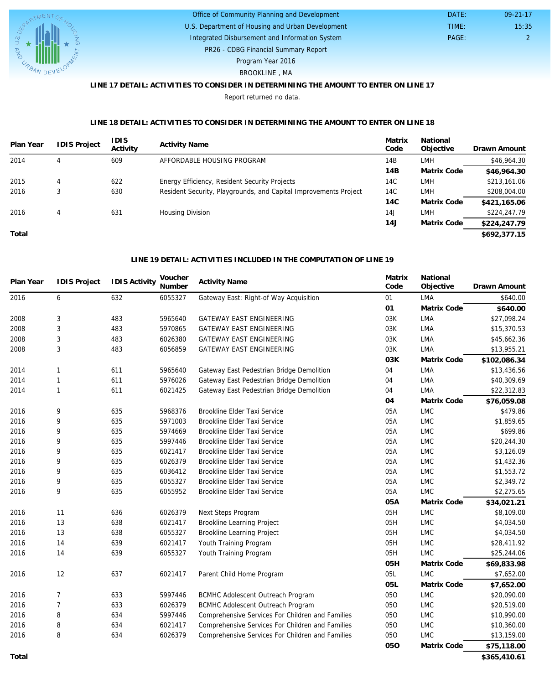

#### U.S. Department of Housing and Urban Development Office of Community Planning and Development

Integrated Disbursement and Information System

 DATE: TIME:

PR26 - CDBG Financial Summary Report

Program Year 2016

#### BROOKLINE , MA

### **LINE 17 DETAIL: ACTIVITIES TO CONSIDER IN DETERMINING THE AMOUNT TO ENTER ON LINE 17**

Report returned no data.

#### **LINE 18 DETAIL: ACTIVITIES TO CONSIDER IN DETERMINING THE AMOUNT TO ENTER ON LINE 18**

| Plan Year | <b>IDIS Project</b> | <b>IDIS</b><br>Activity | <b>Activity Name</b>                                             | Matrix<br>Code | National<br>Objective | Drawn Amount |
|-----------|---------------------|-------------------------|------------------------------------------------------------------|----------------|-----------------------|--------------|
| 2014      | 4                   | 609                     | AFFORDABLE HOUSING PROGRAM                                       | 14B            | <b>LMH</b>            | \$46,964.30  |
|           |                     |                         |                                                                  | 14B            | Matrix Code           | \$46,964.30  |
| 2015      | 4                   | 622                     | Energy Efficiency, Resident Security Projects                    | 14C            | <b>LMH</b>            | \$213,161.06 |
| 2016      |                     | 630                     | Resident Security, Playgrounds, and Capital Improvements Project | 14C            | <b>LMH</b>            | \$208,004.00 |
|           |                     |                         |                                                                  | 14C            | Matrix Code           | \$421,165.06 |
| 2016      | 4                   | 631                     | Housing Division                                                 | 14J            | <b>LMH</b>            | \$224,247.79 |
|           |                     |                         |                                                                  | 14J            | Matrix Code           | \$224,247.79 |
| Total     |                     |                         |                                                                  |                |                       | \$692,377.15 |

#### **LINE 19 DETAIL: ACTIVITIES INCLUDED IN THE COMPUTATION OF LINE 19**

| Plan Year  | <b>IDIS Project</b> | <b>IDIS Activity</b> | Voucher<br>Number | <b>Activity Name</b>                             | Matrix<br>Code | National<br>Objective | Drawn Amount |
|------------|---------------------|----------------------|-------------------|--------------------------------------------------|----------------|-----------------------|--------------|
| 6<br>2016  |                     | 632                  | 6055327           | Gateway East: Right-of Way Acquisition           | 01             | <b>LMA</b>            | \$640.00     |
|            |                     |                      |                   | 01                                               | Matrix Code    | \$640.00              |              |
| 2008       | 3                   | 483                  | 5965640           | GATEWAY EAST ENGINEERING                         | 03K            | <b>LMA</b>            | \$27,098.24  |
| 2008       | 3                   | 483                  | 5970865           | <b>GATEWAY EAST ENGINEERING</b>                  | 03K            | <b>LMA</b>            | \$15,370.53  |
| 2008       | 3                   | 483                  | 6026380           | <b>GATEWAY EAST ENGINEERING</b>                  | 03K            | <b>LMA</b>            | \$45,662.36  |
| 2008       | 3                   | 483                  | 6056859           | <b>GATEWAY EAST ENGINEERING</b>                  | 03K            | <b>LMA</b>            | \$13,955.21  |
|            |                     |                      |                   |                                                  | 03K            | Matrix Code           | \$102,086.34 |
| 2014       | 1                   | 611                  | 5965640           | Gateway East Pedestrian Bridge Demolition        | 04             | LMA                   | \$13,436.56  |
| 2014       | $\mathbf{1}$        | 611                  | 5976026           | Gateway East Pedestrian Bridge Demolition        | 04             | LMA                   | \$40,309.69  |
| 2014       | 1                   | 611                  | 6021425           | Gateway East Pedestrian Bridge Demolition        | 04             | LMA                   | \$22,312.83  |
|            |                     |                      |                   |                                                  | 04             | Matrix Code           | \$76,059.08  |
| 2016       | 9                   | 635                  | 5968376           | Brookline Elder Taxi Service                     | 05A            | <b>LMC</b>            | \$479.86     |
| 2016       | 9                   | 635                  | 5971003           | Brookline Elder Taxi Service                     | 05A            | <b>LMC</b>            | \$1,859.65   |
| 2016       | 9                   | 635                  | 5974669           | Brookline Elder Taxi Service                     | 05A            | <b>LMC</b>            | \$699.86     |
| 2016       | 9                   | 635                  | 5997446           | Brookline Elder Taxi Service                     | 05A            | <b>LMC</b>            | \$20,244.30  |
| 2016       | 9                   | 635                  | 6021417           | Brookline Elder Taxi Service                     | 05A            | <b>LMC</b>            | \$3,126.09   |
| 2016       | 9                   | 635                  | 6026379           | Brookline Elder Taxi Service                     | 05A            | <b>LMC</b>            | \$1,432.36   |
| 2016       | 9                   | 635                  | 6036412           | Brookline Elder Taxi Service                     | 05A            | <b>LMC</b>            | \$1,553.72   |
| 2016       | 9                   | 635                  | 6055327           | Brookline Elder Taxi Service                     | 05A            | <b>LMC</b>            | \$2,349.72   |
| 2016       | 9                   | 635                  | 6055952           | Brookline Elder Taxi Service                     | 05A            | <b>LMC</b>            | \$2,275.65   |
|            |                     |                      |                   |                                                  | 05A            | Matrix Code           | \$34,021.21  |
| 2016       | 11                  | 636                  | 6026379           | Next Steps Program                               | 05H            | <b>LMC</b>            | \$8,109.00   |
| 2016       | 13                  | 638                  | 6021417           | Brookline Learning Project                       | 05H            | <b>LMC</b>            | \$4,034.50   |
| 2016       | 13                  | 638                  | 6055327           | Brookline Learning Project                       | 05H            | <b>LMC</b>            | \$4,034.50   |
| 2016       | 14                  | 639                  | 6021417           | Youth Training Program                           | 05H            | <b>LMC</b>            | \$28,411.92  |
| 2016<br>14 |                     | 639                  | 6055327           | Youth Training Program                           | 05H            | <b>LMC</b>            | \$25,244.06  |
|            |                     |                      |                   |                                                  | 05H            | Matrix Code           | \$69,833.98  |
| 2016       | 12                  | 637                  | 6021417           | Parent Child Home Program                        | 05L            | <b>LMC</b>            | \$7,652.00   |
|            |                     |                      |                   |                                                  | 05L            | Matrix Code           | \$7,652.00   |
| 2016       | $\overline{7}$      | 633                  | 5997446           | <b>BCMHC Adolescent Outreach Program</b>         | 050            | <b>LMC</b>            | \$20,090.00  |
| 2016       | $\overline{7}$      | 633                  | 6026379           | <b>BCMHC Adolescent Outreach Program</b>         | 050            | <b>LMC</b>            | \$20,519.00  |
| 2016       | 8                   | 634                  | 5997446           | Comprehensive Services For Children and Families | 050            | <b>LMC</b>            | \$10,990.00  |
| 2016       | 8                   | 634                  | 6021417           | Comprehensive Services For Children and Families | 050            | <b>LMC</b>            | \$10,360.00  |
| 2016       | 8                   | 634                  | 6026379           | Comprehensive Services For Children and Families | 050            | <b>LMC</b>            | \$13,159.00  |
|            |                     |                      |                   |                                                  | 050            | Matrix Code           | \$75,118.00  |